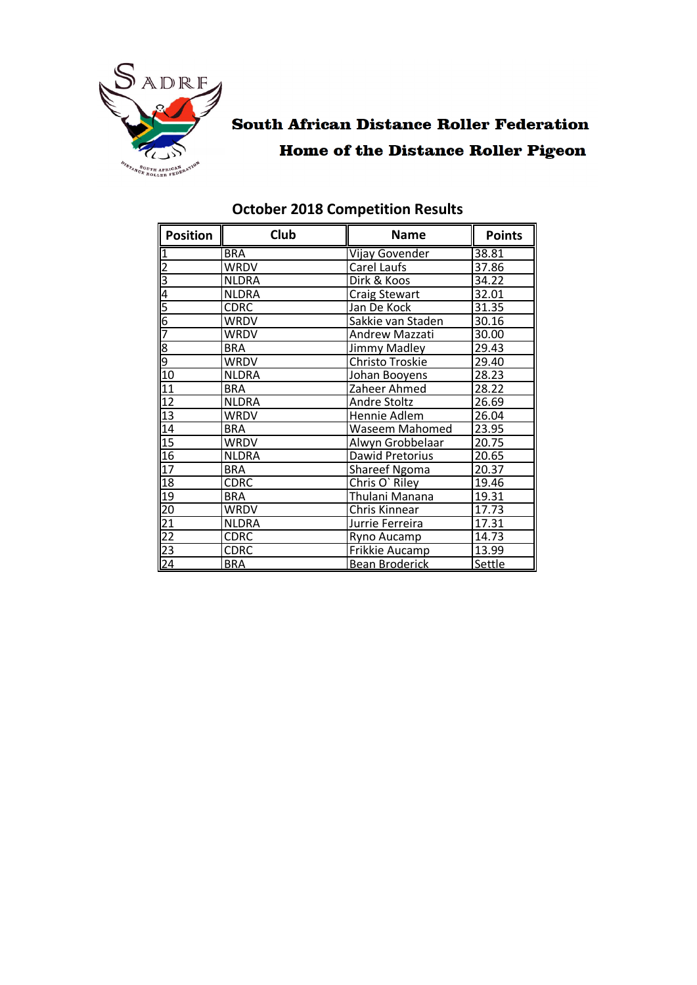

# **South African Distance Roller Federation Home of the Distance Roller Pigeon**

| <b>Position</b> | Club         | <b>Name</b>                     | <b>Points</b> |
|-----------------|--------------|---------------------------------|---------------|
| $\overline{1}$  | <b>BRA</b>   | <b>Vijay Govender</b>           | 38.81         |
| $\frac{2}{3}$   | WRDV         | Carel Laufs                     | 37.86         |
|                 | <b>NLDRA</b> | Dirk & Koos                     | 34.22         |
| $\overline{4}$  | <b>NLDRA</b> | <b>Craig Stewart</b>            | 32.01         |
| <u> 5</u>       | <b>CDRC</b>  | Jan De Kock                     | 31.35         |
| 6               | WRDV         | Sakkie van Staden               | 30.16         |
| 7               | <b>WRDV</b>  | Andrew Mazzati                  | 30.00         |
| တ တ             | <b>BRA</b>   | Jimmy Madley                    | 29.43         |
|                 | <b>WRDV</b>  | Christo Troskie                 | 29.40         |
| 10              | NLDRA        | Johan Booyens                   | 28.23         |
| 11              | <b>BRA</b>   | Zaheer Ahmed                    | 28.22         |
| 12              | <b>NLDRA</b> | Andre Stoltz                    | 26.69         |
| 13              | <b>WRDV</b>  | Hennie Adlem                    | 26.04         |
| 14              | <b>BRA</b>   | Waseem Mahomed                  | 23.95         |
| 15              | <b>WRDV</b>  | Alwyn Grobbelaar                | 20.75         |
| 16              | <b>NLDRA</b> | Dawid Pretorius                 | 20.65         |
| 17              | <b>BRA</b>   | <b>Shareef Ngoma</b>            | 20.37         |
| 18              | <b>CDRC</b>  | Chris O' Riley                  | 19.46         |
| 19              | <b>BRA</b>   | Thulani Manana                  | 19.31         |
| $\overline{20}$ | <b>WRDV</b>  | Chris Kinnear                   | 17.73         |
|                 | <b>NLDRA</b> | Jurrie Ferreira                 | 17.31         |
| $\frac{21}{22}$ | <b>CDRC</b>  | 14.73<br>Ryno Aucamp            |               |
| $\overline{23}$ | <b>CDRC</b>  | 13.99<br>Frikkie Aucamp         |               |
| $\overline{24}$ | <b>BRA</b>   | Settle<br><b>Bean Broderick</b> |               |

#### **October 2018 Competition Results**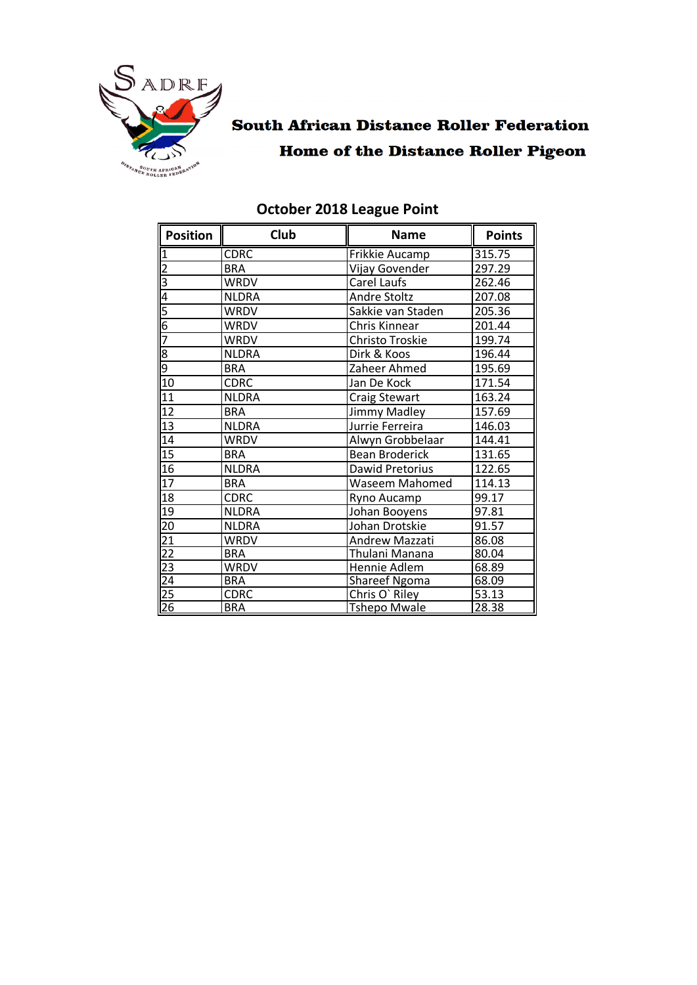

## **South African Distance Roller Federation Home of the Distance Roller Pigeon**

| <b>Position</b>                   | Club         | <b>Name</b>                   | <b>Points</b> |
|-----------------------------------|--------------|-------------------------------|---------------|
|                                   | <b>CDRC</b>  | <b>Frikkie Aucamp</b>         | 315.75        |
| $\overline{2}$                    | <b>BRA</b>   | Vijay Govender                | 297.29        |
| m  <del>d</del>                   | <b>WRDV</b>  | Carel Laufs                   | 262.46        |
|                                   | <b>NLDRA</b> | <b>Andre Stoltz</b>           | 207.08        |
| $\frac{5}{6}$                     | WRDV         | Sakkie van Staden             | 205.36        |
|                                   | <b>WRDV</b>  | Chris Kinnear                 | 201.44        |
|                                   | <b>WRDV</b>  | Christo Troskie               | 199.74        |
|                                   | <b>NLDRA</b> | Dirk & Koos                   | 196.44        |
| $\frac{8}{9}$                     | <b>BRA</b>   | Zaheer Ahmed                  | 195.69        |
| 10                                | <b>CDRC</b>  | Jan De Kock                   | 171.54        |
| $\overline{11}$                   | <b>NLDRA</b> | <b>Craig Stewart</b>          | 163.24        |
| 12                                | <b>BRA</b>   | Jimmy Madley                  | 157.69        |
| 13                                | <b>NLDRA</b> | Jurrie Ferreira               | 146.03        |
| 14                                | <b>WRDV</b>  | Alwyn Grobbelaar              | 144.41        |
| 15                                | <b>BRA</b>   | <b>Bean Broderick</b>         | 131.65        |
| 16                                | <b>NLDRA</b> | Dawid Pretorius               | 122.65        |
| $\overline{17}$                   | <b>BRA</b>   | <b>Waseem Mahomed</b>         | 114.13        |
| 18                                | <b>CDRC</b>  | Ryno Aucamp                   | 99.17         |
| 19                                | <b>NLDRA</b> | 97.81<br>Johan Booyens        |               |
| $\overline{20}$                   | <b>NLDRA</b> | 91.57<br>Johan Drotskie       |               |
|                                   | <b>WRDV</b>  | Andrew Mazzati                | 86.08         |
| $\frac{21}{22}$                   | <b>BRA</b>   | Thulani Manana                | 80.04         |
|                                   | WRDV         | 68.89<br>Hennie Adlem         |               |
| $\frac{1}{24}$<br>$\frac{25}{26}$ | <b>BRA</b>   | <b>Shareef Ngoma</b><br>68.09 |               |
|                                   | <b>CDRC</b>  | Chris O' Riley<br>53.13       |               |
|                                   | <b>BRA</b>   | <b>Tshepo Mwale</b><br>28.38  |               |

#### **October 2018 League Point**